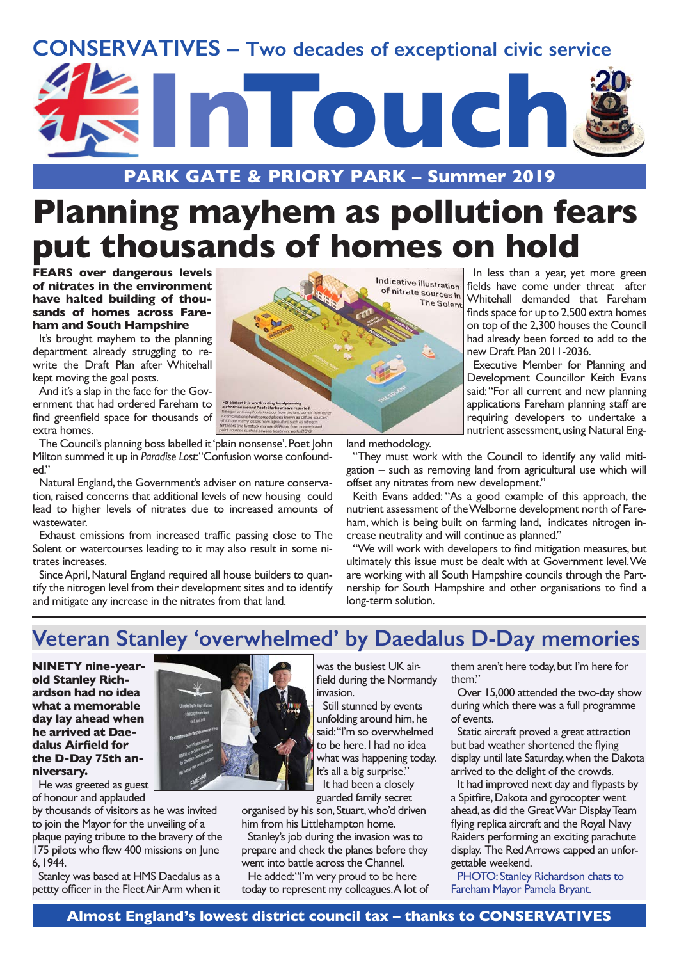## **CONSERVATIVES – Two decades of exceptional civic service**



### **PARK GATE & PRIORY PARK – Summer 2019**

## **Planning mayhem as pollution fears put thousands of homes on hold**

**FEARS over dangerous levels of nitrates in the environment have halted building of thousands of homes across Fareham and South Hampshire**

It's brought mayhem to the planning department already struggling to rewrite the Draft Plan after Whitehall kept moving the goal posts.

And it's a slap in the face for the Government that had ordered Fareham to find greenfield space for thousands of extra homes.

The Council's planning boss labelled it 'plain nonsense'. Poet John Milton summed it up in *Paradise Lost*: "Confusion worse confounded."

Natural England, the Government's adviser on nature conservation, raised concerns that additional levels of new housing could lead to higher levels of nitrates due to increased amounts of wastewater.

Exhaust emissions from increased traffic passing close to The Solent or watercourses leading to it may also result in some nitrates increases.

Since April, Natural England required all house builders to quantify the nitrogen level from their development sites and to identify and mitigate any increase in the nitrates from that land.



In less than a year, yet more green fields have come under threat after Whitehall demanded that Fareham finds space for up to 2,500 extra homes on top of the 2,300 houses the Council had already been forced to add to the new Draft Plan 2011-2036.

Executive Member for Planning and Development Councillor Keith Evans said: "For all current and new planning applications Fareham planning staff are requiring developers to undertake a nutrient assessment, using Natural Eng-

land methodology.

"They must work with the Council to identify any valid mitigation – such as removing land from agricultural use which will offset any nitrates from new development."

Keith Evans added: "As a good example of this approach, the nutrient assessment of the Welborne development north of Fareham, which is being built on farming land, indicates nitrogen increase neutrality and will continue as planned."

"We will work with developers to find mitigation measures, but ultimately this issue must be dealt with at Government level. We are working with all South Hampshire councils through the Partnership for South Hampshire and other organisations to find a long-term solution.

## **Veteran Stanley 'overwhelmed' by Daedalus D-Day memories**

**NINETY nine-yearold Stanley Richardson had no idea what a memorable day lay ahead when he arrived at Daedalus Airfield for the D-Day 75th anniversary.**

He was greeted as guest of honour and applauded

by thousands of visitors as he was invited to join the Mayor for the unveiling of a plaque paying tribute to the bravery of the 175 pilots who flew 400 missions on June 6, 1944.

Stanley was based at HMS Daedalus as a pettty officer in the Fleet Air Arm when it



was the busiest UK airfield during the Normandy invasion.

Still stunned by events unfolding around him, he said: "I'm so overwhelmed to be here. I had no idea what was happening today. It's all a big surprise." It had been a closely

guarded family secret organised by his son, Stuart, who'd driven

him from his Littlehampton home.

Stanley's job during the invasion was to prepare and check the planes before they went into battle across the Channel.

He added: "I'm very proud to be here today to represent my colleagues. A lot of them aren't here today, but I'm here for them."

Over 15,000 attended the two-day show during which there was a full programme of events.

Static aircraft proved a great attraction but bad weather shortened the flying display until late Saturday, when the Dakota arrived to the delight of the crowds.

It had improved next day and flypasts by a Spitfire, Dakota and gyrocopter went ahead, as did the Great War Display Team flying replica aircraft and the Royal Navy Raiders performing an exciting parachute display. The Red Arrows capped an unforgettable weekend.

PHOTO: Stanley Richardson chats to Fareham Mayor Pamela Bryant.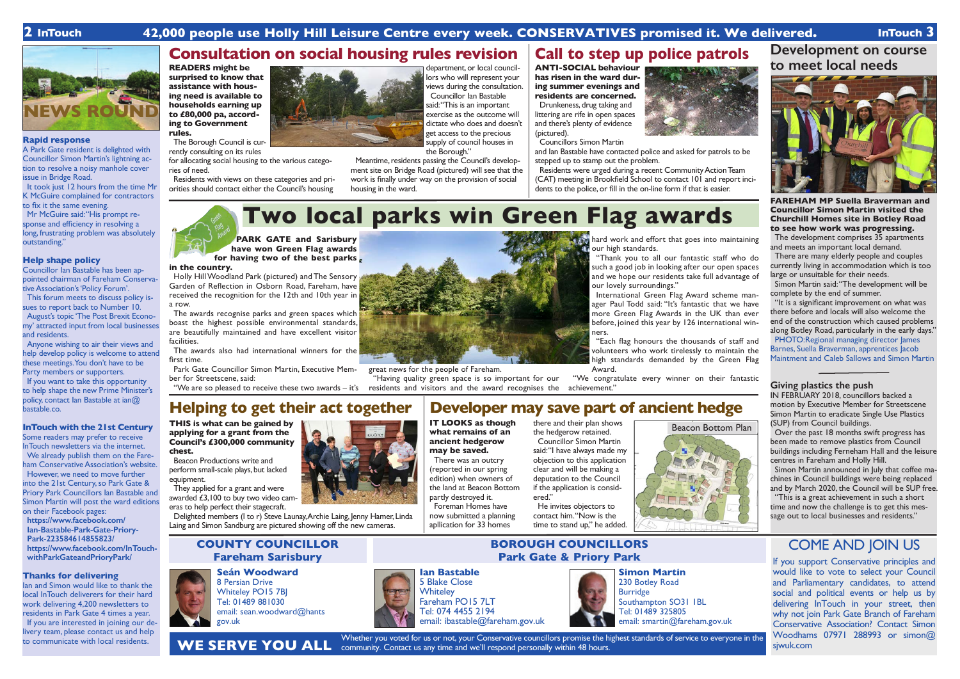**Rapid response**

A Park Gate resident is delighted with Councillor Simon Martin's lightning action to resolve a noisy manhole cover

It took just 12 hours from the time Mr K McGuire complained for contractors

issue in Bridge Road.

to fix it the same evening.

Mr McGuire said: "His prompt response and efficiency in resolving a long, frustrating problem was absolutely

outstanding."

**Help shape policy**

Councillor Ian Bastable has been appointed chairman of Fareham Conserva-

tive Association's 'Policy Forum'.

This forum meets to discuss policy issues to report back to Number 10. August's topic 'The Post Brexit Economy' attracted input from local businesses

and residents.

Ian and Simon would like to thank the local InTouch deliverers for their hard work delivering 4,200 newsletters to residents in Park Gate 4 times a year. If you are interested in joining our delivery team, please contact us and help<br>to communicate with local residents.

Anyone wishing to air their views and help develop policy is welcome to attend these meetings. You don't have to be Party members or supporters. If you want to take this opportunity to help shape the new Prime Minister's policy, contact Ian Bastable at ian@

bastable.co.

Whether you voted for us or not, your Conservative councillors promise the highest standards of service to everyone in the community. Contact us any time and we'll respond personally within 48 hours.

**BOROUGH COUNCILLORS Park Gate & Priory Park** COME AND JOIN US<br> **Park Gate & Priory Park** 

**InTouch with the 21st Century** Some readers may prefer to receive InTouch newsletters via the internet. We already publish them on the Fareham Conservative Association's website. However, we need to move further into the 21st Century, so Park Gate & Priory Park Councillors Ian Bastable and Simon Martin will post the ward editions

> **Ian Bastable** 5 Blake Close **Whiteley**

on their Facebook pages: **https://www.facebook.com/ Ian-Bastable-Park-Gate-Priory-Park-223584614855823/** 

**https://www.facebook.com/InTouchwithParkGateandPrioryPark/**

**Thanks for delivering**

### **Seán Woodward**

8 Persian Drive Whiteley PO15 7BJ Tel: 01489 881030 email: sean.woodward@hants gov.uk



### **COUNTY COUNCILLOR Fareham Sarisbury**

If you support Conservative principles and would like to vote to select your Council and Parliamentary candidates, to attend social and political events or help us by delivering InTouch in your street, then why not join Park Gate Branch of Fareham Conservative Association? Contact Simon Woodhams 07971 288993 or simon@ sjwuk.com

Fareham PO15 7LT Tel: 074 4455 2194

email: ibastable@fareham.gov.uk

**WE SERVE YOU ALL**

## **2 InTouch 42,000 people use Holly Hill Leisure Centre every week. CONSERVATIVES promised it. We delivered. InTouch 3**

**NEWS ROUND**

**Helping to get their act together**

**THIS is what can be gained by applying for a grant from the Council's £300,000 community chest.**

"Thank you to all our fantastic staff who do such a good job in looking after our open spaces and we hope our residents take full advantage of our lovely surroundings.'

Beacon Productions write and perform small-scale plays, but lacked equipment.

They applied for a grant and were awarded £3,100 to buy two video cameras to help perfect their stagecraft.

Delighted members (l to r) Steve Launay, Archie Laing, Jenny Hamer, Linda Laing and Simon Sandburg are pictured showing off the new cameras.

There are many elderly people and couples currently living in accommodation which is too large or unsuitable for their needs.

**READERS might be surprised to know that assistance with housing need is available to households earning up to £80,000 pa, according to Government rules.** 

The Borough Council is currently consulting on its rules

for allocating social housing to the various catego-

ries of need. Residents with views on these categories and priorities should contact either the Council's housing department, or local councillors who will represent your views during the consultation. Councillor Ian Bastable said: "This is an important exercise as the outcome will dictate who does and doesn't get access to the precious supply of council houses in the Borough."

Meantime, residents passing the Council's development site on Bridge Road (pictured) will see that the work is finally under way on the provision of social housing in the ward.



**ANTI-SOCIAL behaviour has risen in the ward during summer evenings and residents are concerned.** Drunkeness, drug taking and littering are rife in open spaces and there's plenty of evidence (pictured).



Councillors Simon Martin

and Ian Bastable have contacted police and asked for patrols to be stepped up to stamp out the problem.

Residents were urged during a recent Community Action Team (CAT) meeting in Brookfield School to contact 101 and report incidents to the police, or fill in the on-line form if that is easier.

# **Simon Martin**

230 Botley Road Burridge Southampton SO31 1BL Tel: 01489 325805 email: smartin@fareham.gov.uk

## **Two local parks win Green Flag awards**

**PARK GATE and Sarisbury have won Green Flag awards for having two of the best parks** 

### **in the country.**

Holly Hill Woodland Park (pictured) and The Sensory Garden of Reflection in Osborn Road, Fareham, have received the recognition for the 12th and 10th year in a row.

The awards recognise parks and green spaces which boast the highest possible environmental standards, are beautifully maintained and have excellent visitor facilities.

The awards also had international winners for the first time.

Park Gate Councillor Simon Martin, Executive Member for Streetscene, said:

"We are so pleased to receive these two awards – it's



great news for the people of Fareham.

# "Having quality green space is so important for our

hard work and effort that goes into maintaining our high standards.



International Green Flag Award scheme manager Paul Todd said: "It's fantastic that we have more Green Flag Awards in the UK than ever before, joined this year by 126 international winners.



Award. "We congratulate every winner on their fantastic





**Development on course to meet local needs**



**FAREHAM MP Suella Braverman and Councillor Simon Martin visited the Churchill Homes site in Botley Road to see how work was progressing.** 

The development comprises 35 apartments and meets an important local demand.

Simon Martin said: "The development will be complete by the end of summer.

"It is a significant improvement on what was there before and locals will also welcome the end of the construction which caused problems along Botley Road, particularly in the early days."

PHOTO:Regional managing director James Barnes, Suella Braverman, apprentices Jacob Maintment and Caleb Sallows and Simon Martin

### **Giving plastics the push**

IN FEBRUARY 2018, councillors backed a motion by Executive Member for Streetscene Simon Martin to eradicate Single Use Plastics (SUP) from Council buildings.

Over the past 18 months swift progress has been made to remove plastics from Council buildings including Ferneham Hall and the leisure centres in Fareham and Holly Hill.

Simon Martin announced in July that coffee machines in Council buildings were being replaced and by March 2020, the Council will be SUP free. "This is a great achievement in such a short time and now the challenge is to get this message out to local businesses and residents."

**what remains of an ancient hedgerow may be saved.**

There was an outcry (reported in our spring edition) when owners of the land at Beacon Bottom partly destroyed it. Foreman Homes have

now submitted a planning apllication for 33 homes

there and their plan shows the hedgerow retained.

Councillor Simon Martin said: "I have always made my objection to this application clear and will be making a deputation to the Council if the application is considered." He invites objectors to contact him. "Now is the

time to stand up," he added.